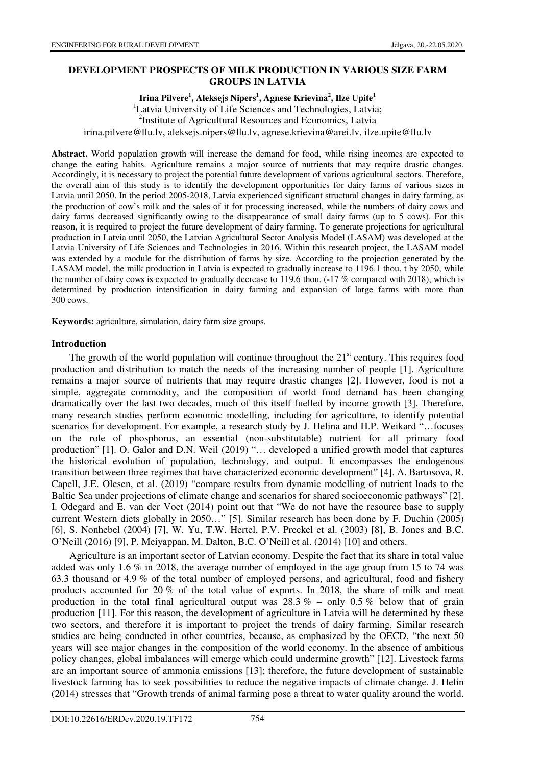### **DEVELOPMENT PROSPECTS OF MILK PRODUCTION IN VARIOUS SIZE FARM GROUPS IN LATVIA**

### **Irina Pilvere<sup>1</sup> , Aleksejs Nipers<sup>1</sup> , Agnese Krievina<sup>2</sup> , Ilze Upite<sup>1</sup>**

<sup>1</sup>Latvia University of Life Sciences and Technologies, Latvia; <sup>2</sup>Institute of Agricultural Resources and Economics, Latvia irina.pilvere@llu.lv, aleksejs.nipers@llu.lv, agnese.krievina@arei.lv, ilze.upite@llu.lv

**Abstract.** World population growth will increase the demand for food, while rising incomes are expected to change the eating habits. Agriculture remains a major source of nutrients that may require drastic changes. Accordingly, it is necessary to project the potential future development of various agricultural sectors. Therefore, the overall aim of this study is to identify the development opportunities for dairy farms of various sizes in Latvia until 2050. In the period 2005-2018, Latvia experienced significant structural changes in dairy farming, as the production of cow's milk and the sales of it for processing increased, while the numbers of dairy cows and dairy farms decreased significantly owing to the disappearance of small dairy farms (up to 5 cows). For this reason, it is required to project the future development of dairy farming. To generate projections for agricultural production in Latvia until 2050, the Latvian Agricultural Sector Analysis Model (LASAM) was developed at the Latvia University of Life Sciences and Technologies in 2016. Within this research project, the LASAM model was extended by a module for the distribution of farms by size. According to the projection generated by the LASAM model, the milk production in Latvia is expected to gradually increase to 1196.1 thou. t by 2050, while the number of dairy cows is expected to gradually decrease to 119.6 thou. (-17 % compared with 2018), which is determined by production intensification in dairy farming and expansion of large farms with more than 300 cows.

**Keywords:** agriculture, simulation, dairy farm size groups.

#### **Introduction**

The growth of the world population will continue throughout the  $21<sup>st</sup>$  century. This requires food production and distribution to match the needs of the increasing number of people [1]. Agriculture remains a major source of nutrients that may require drastic changes [2]. However, food is not a simple, aggregate commodity, and the composition of world food demand has been changing dramatically over the last two decades, much of this itself fuelled by income growth [3]. Therefore, many research studies perform economic modelling, including for agriculture, to identify potential scenarios for development. For example, a research study by J. Helina and H.P. Weikard "…focuses on the role of phosphorus, an essential (non-substitutable) nutrient for all primary food production" [1]. O. Galor and D.N. Weil (2019) "… developed a unified growth model that captures the historical evolution of population, technology, and output. It encompasses the endogenous transition between three regimes that have characterized economic development" [4]. A. Bartosova, R. Capell, J.E. Olesen, et al. (2019) "compare results from dynamic modelling of nutrient loads to the Baltic Sea under projections of climate change and scenarios for shared socioeconomic pathways" [2]. I. Odegard and E. van der Voet (2014) point out that "We do not have the resource base to supply current Western diets globally in 2050…" [5]. Similar research has been done by F. Duchin (2005) [6], S. Nonhebel (2004) [7], W. Yu, T.W. Hertel, P.V. Preckel et al. (2003) [8], B. Jones and B.C. O'Neill (2016) [9], P. Meiyappan, M. Dalton, B.C. O'Neill et al. (2014) [10] and others.

Agriculture is an important sector of Latvian economy. Despite the fact that its share in total value added was only 1.6 % in 2018, the average number of employed in the age group from 15 to 74 was 63.3 thousand or 4.9 % of the total number of employed persons, and agricultural, food and fishery products accounted for 20 % of the total value of exports. In 2018, the share of milk and meat production in the total final agricultural output was  $28.3\%$  – only 0.5 % below that of grain production [11]. For this reason, the development of agriculture in Latvia will be determined by these two sectors, and therefore it is important to project the trends of dairy farming. Similar research studies are being conducted in other countries, because, as emphasized by the OECD, "the next 50 years will see major changes in the composition of the world economy. In the absence of ambitious policy changes, global imbalances will emerge which could undermine growth" [12]. Livestock farms are an important source of ammonia emissions [13]; therefore, the future development of sustainable livestock farming has to seek possibilities to reduce the negative impacts of climate change. J. Helin (2014) stresses that "Growth trends of animal farming pose a threat to water quality around the world.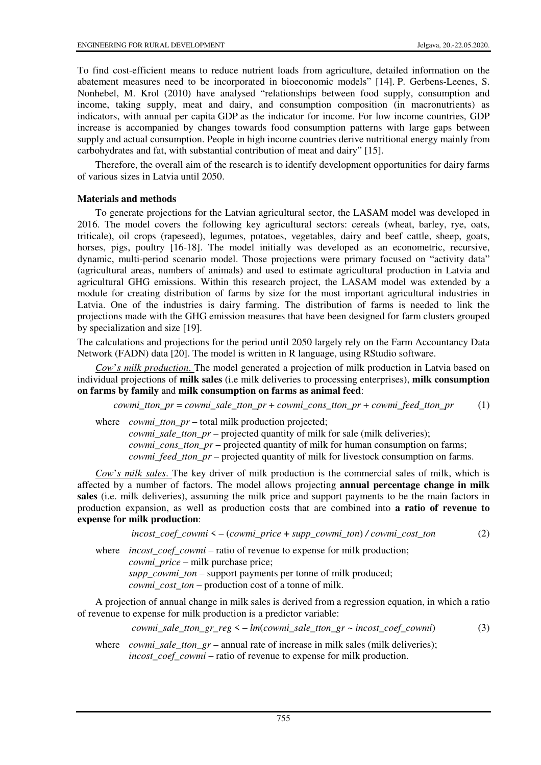To find cost-efficient means to reduce nutrient loads from agriculture, detailed information on the abatement measures need to be incorporated in bioeconomic models" [14]. P. Gerbens-Leenes, S. Nonhebel, M. Krol (2010) have analysed "relationships between food supply, consumption and income, taking supply, meat and dairy, and consumption composition (in macronutrients) as indicators, with annual per capita GDP as the indicator for income. For low income countries, GDP increase is accompanied by changes towards food consumption patterns with large gaps between supply and actual consumption. People in high income countries derive nutritional energy mainly from carbohydrates and fat, with substantial contribution of meat and dairy" [15].

Therefore, the overall aim of the research is to identify development opportunities for dairy farms of various sizes in Latvia until 2050.

## **Materials and methods**

To generate projections for the Latvian agricultural sector, the LASAM model was developed in 2016. The model covers the following key agricultural sectors: cereals (wheat, barley, rye, oats, triticale), oil crops (rapeseed), legumes, potatoes, vegetables, dairy and beef cattle, sheep, goats, horses, pigs, poultry [16-18]. The model initially was developed as an econometric, recursive, dynamic, multi-period scenario model. Those projections were primary focused on "activity data" (agricultural areas, numbers of animals) and used to estimate agricultural production in Latvia and agricultural GHG emissions. Within this research project, the LASAM model was extended by a module for creating distribution of farms by size for the most important agricultural industries in Latvia. One of the industries is dairy farming. The distribution of farms is needed to link the projections made with the GHG emission measures that have been designed for farm clusters grouped by specialization and size [19].

The calculations and projections for the period until 2050 largely rely on the Farm Accountancy Data Network (FADN) data [20]. The model is written in R language, using RStudio software.

*Cow*'*s milk production*. The model generated a projection of milk production in Latvia based on individual projections of **milk sales** (i.e milk deliveries to processing enterprises), **milk consumption on farms by family** and **milk consumption on farms as animal feed**:

*cowmi\_tton\_pr = cowmi\_sale\_tton\_pr + cowmi\_cons\_tton\_pr + cowmi\_feed\_tton\_pr* (1)

where *cowmi\_tton\_pr* – total milk production projected;

*cowmi\_sale\_tton\_pr* – projected quantity of milk for sale (milk deliveries); *cowmi\_cons\_tton\_pr* – projected quantity of milk for human consumption on farms; *cowmi\_feed\_tton\_pr* – projected quantity of milk for livestock consumption on farms.

*Cow*'*s milk sales*. The key driver of milk production is the commercial sales of milk, which is affected by a number of factors. The model allows projecting **annual percentage change in milk sales** (i.e. milk deliveries), assuming the milk price and support payments to be the main factors in production expansion, as well as production costs that are combined into **a ratio of revenue to expense for milk production**:

*incost\_coef\_cowmi* < – (*cowmi\_price* + *supp\_cowmi\_ton*) */ cowmi\_cost\_ton* (2)

where *incost\_coef\_cowmi* – ratio of revenue to expense for milk production;  *cowmi\_price* – milk purchase price; *supp\_cowmi\_ton* – support payments per tonne of milk produced;  *cowmi\_cost\_ton* – production cost of a tonne of milk.

A projection of annual change in milk sales is derived from a regression equation, in which a ratio of revenue to expense for milk production is a predictor variable:

*cowmi\_sale\_tton\_gr\_reg* < – *lm*(*cowmi\_sale\_tton\_gr ~ incost\_coef\_cowmi*)(3)

where *cowmi sale tton gr –* annual rate of increase in milk sales (milk deliveries);  *incost\_coef\_cowmi* – ratio of revenue to expense for milk production.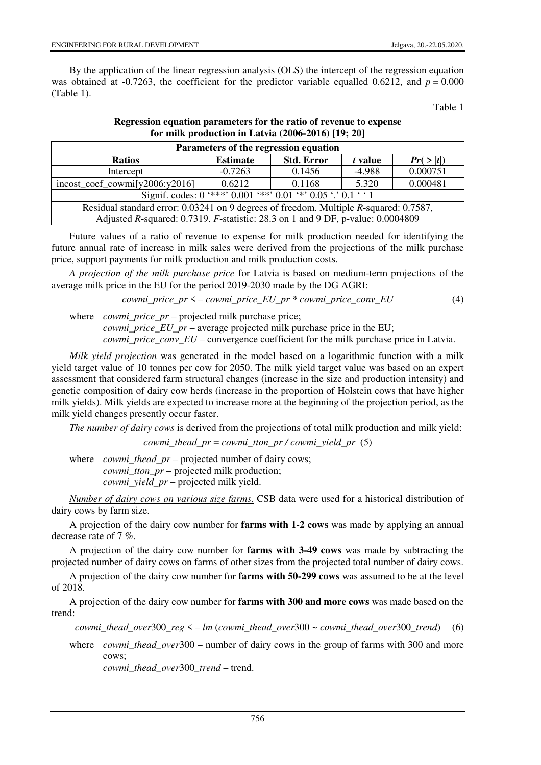By the application of the linear regression analysis (OLS) the intercept of the regression equation was obtained at -0.7263, the coefficient for the predictor variable equalled 0.6212, and  $p = 0.000$ (Table 1).

Table 1

| Parameters of the regression equation                                                 |                 |                   |          |            |  |  |  |
|---------------------------------------------------------------------------------------|-----------------|-------------------|----------|------------|--|--|--|
| <b>Ratios</b>                                                                         | <b>Estimate</b> | <b>Std. Error</b> | t value  | Pr( >  t ) |  |  |  |
| Intercept                                                                             | $-0.7263$       | 0.1456            | $-4.988$ | 0.000751   |  |  |  |
| $incost\_coef\_commi[y2006:y2016]$                                                    | 0.6212          | 0.1168            | 5.320    | 0.000481   |  |  |  |
| Signif. codes: $0$ '***' $0.001$ '**' $0.01$ '*' $0.05$ '.' $0.1$ ' '1                |                 |                   |          |            |  |  |  |
| Residual standard error: 0.03241 on 9 degrees of freedom. Multiple R-squared: 0.7587, |                 |                   |          |            |  |  |  |
| Adjusted R-squared: 0.7319. F-statistic: 28.3 on 1 and 9 DF, p-value: 0.0004809       |                 |                   |          |            |  |  |  |

## **Regression equation parameters for the ratio of revenue to expense for milk production in Latvia (2006-2016) [19; 20]**

Future values of a ratio of revenue to expense for milk production needed for identifying the future annual rate of increase in milk sales were derived from the projections of the milk purchase price, support payments for milk production and milk production costs.

*A projection of the milk purchase price* for Latvia is based on medium-term projections of the average milk price in the EU for the period 2019-2030 made by the DG AGRI:

*cowmi\_price\_pr* < – *cowmi\_price\_EU\_pr \* cowmi\_price\_conv\_EU* (4)

where *cowmi\_price\_pr* – projected milk purchase price;  *cowmi\_price\_EU\_pr* – average projected milk purchase price in the EU;

*cowmi\_price\_conv\_EU* – convergence coefficient for the milk purchase price in Latvia.

*Milk yield projection* was generated in the model based on a logarithmic function with a milk yield target value of 10 tonnes per cow for 2050. The milk yield target value was based on an expert assessment that considered farm structural changes (increase in the size and production intensity) and genetic composition of dairy cow herds (increase in the proportion of Holstein cows that have higher milk yields). Milk yields are expected to increase more at the beginning of the projection period, as the milk yield changes presently occur faster.

*The number of dairy cows* is derived from the projections of total milk production and milk yield:

*cowmi\_thead\_pr* = *cowmi\_tton\_pr / cowmi\_yield\_pr* (5)

where *cowmi\_thead\_pr* – projected number of dairy cows;  *cowmi\_tton\_pr* – projected milk production;  *cowmi\_yield\_pr* – projected milk yield.

*Number of dairy cows on various size farms*. CSB data were used for a historical distribution of dairy cows by farm size.

A projection of the dairy cow number for **farms with 1-2 cows** was made by applying an annual decrease rate of 7 %.

A projection of the dairy cow number for **farms with 3-49 cows** was made by subtracting the projected number of dairy cows on farms of other sizes from the projected total number of dairy cows.

A projection of the dairy cow number for **farms with 50-299 cows** was assumed to be at the level of 2018.

A projection of the dairy cow number for **farms with 300 and more cows** was made based on the trend:

```
cowmi_thead_over300_reg < – lm (cowmi_thead_over300 ~ cowmi_thead_over300_trend) (6)
```
where *cowmi\_thead\_over*300 – number of dairy cows in the group of farms with 300 and more cows;

*cowmi\_thead\_over*300*\_trend* – trend.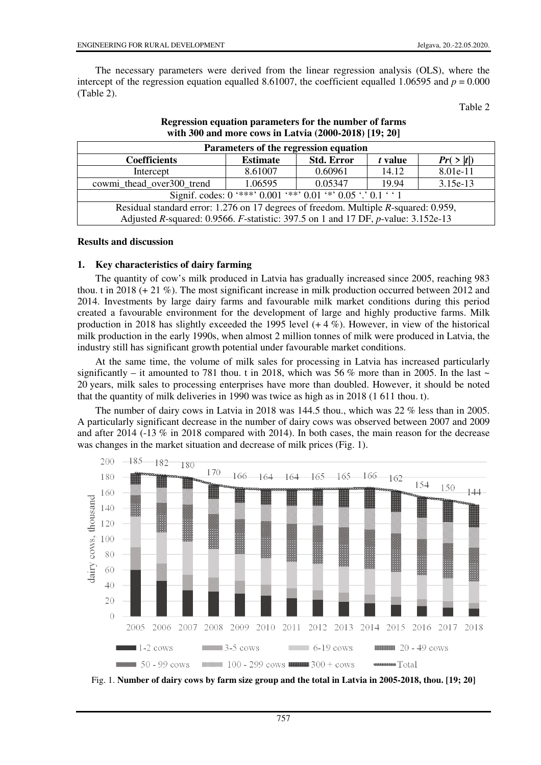The necessary parameters were derived from the linear regression analysis (OLS), where the intercept of the regression equation equalled 8.61007, the coefficient equalled 1.06595 and  $p = 0.000$ (Table 2).

Table 2

| Parameters of the regression equation                                                |                 |                   |         |            |  |  |
|--------------------------------------------------------------------------------------|-----------------|-------------------|---------|------------|--|--|
| <b>Coefficients</b>                                                                  | <b>Estimate</b> | <b>Std. Error</b> | t value | Pr( >  t ) |  |  |
| Intercept                                                                            | 8.61007         | 0.60961           | 14.12   | 8.01e-11   |  |  |
| cowmi_thead_over300_trend                                                            | 1.06595         | 0.05347           | 19.94   | $3.15e-13$ |  |  |
| Signif. codes: $0$ '***' $0.001$ '**' $0.01$ '*' $0.05$ '.' $0.1$ ' '1               |                 |                   |         |            |  |  |
| Residual standard error: 1.276 on 17 degrees of freedom. Multiple R-squared: 0.959,  |                 |                   |         |            |  |  |
| Adjusted R-squared: 0.9566. F-statistic: 397.5 on 1 and 17 DF, $p$ -value: 3.152e-13 |                 |                   |         |            |  |  |

**Regression equation parameters for the number of farms with 300 and more cows in Latvia (2000-2018) [19; 20]** 

### **Results and discussion**

### **1. Key characteristics of dairy farming**

The quantity of cow's milk produced in Latvia has gradually increased since 2005, reaching 983 thou. t in 2018 (+ 21 %). The most significant increase in milk production occurred between 2012 and 2014. Investments by large dairy farms and favourable milk market conditions during this period created a favourable environment for the development of large and highly productive farms. Milk production in 2018 has slightly exceeded the 1995 level  $(+ 4\%)$ . However, in view of the historical milk production in the early 1990s, when almost 2 million tonnes of milk were produced in Latvia, the industry still has significant growth potential under favourable market conditions.

At the same time, the volume of milk sales for processing in Latvia has increased particularly significantly – it amounted to 781 thou. t in 2018, which was 56 % more than in 2005. In the last  $\sim$ 20 years, milk sales to processing enterprises have more than doubled. However, it should be noted that the quantity of milk deliveries in 1990 was twice as high as in 2018 (1 611 thou. t).

The number of dairy cows in Latvia in 2018 was 144.5 thou., which was 22 % less than in 2005. A particularly significant decrease in the number of dairy cows was observed between 2007 and 2009 and after 2014 (-13 % in 2018 compared with 2014). In both cases, the main reason for the decrease was changes in the market situation and decrease of milk prices (Fig. 1).



Fig. 1. **Number of dairy cows by farm size group and the total in Latvia in 2005-2018, thou. [19; 20]**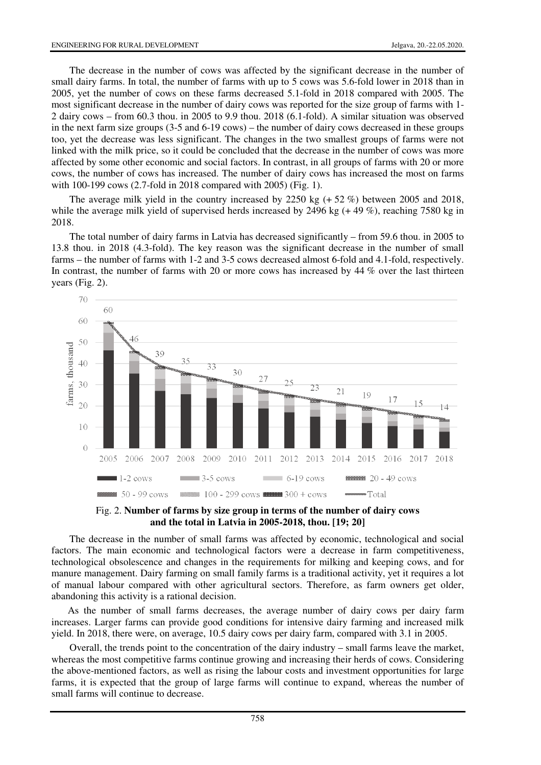The decrease in the number of cows was affected by the significant decrease in the number of small dairy farms. In total, the number of farms with up to 5 cows was 5.6-fold lower in 2018 than in 2005, yet the number of cows on these farms decreased 5.1-fold in 2018 compared with 2005. The most significant decrease in the number of dairy cows was reported for the size group of farms with 1- 2 dairy cows – from 60.3 thou. in 2005 to 9.9 thou. 2018 (6.1-fold). A similar situation was observed in the next farm size groups (3-5 and 6-19 cows) – the number of dairy cows decreased in these groups too, yet the decrease was less significant. The changes in the two smallest groups of farms were not linked with the milk price, so it could be concluded that the decrease in the number of cows was more affected by some other economic and social factors. In contrast, in all groups of farms with 20 or more cows, the number of cows has increased. The number of dairy cows has increased the most on farms with 100-199 cows (2.7-fold in 2018 compared with 2005) (Fig. 1).

The average milk yield in the country increased by 2250 kg  $(+ 52\%)$  between 2005 and 2018, while the average milk yield of supervised herds increased by 2496 kg (+49 %), reaching 7580 kg in 2018.

The total number of dairy farms in Latvia has decreased significantly – from 59.6 thou. in 2005 to 13.8 thou. in 2018 (4.3-fold). The key reason was the significant decrease in the number of small farms – the number of farms with 1-2 and 3-5 cows decreased almost 6-fold and 4.1-fold, respectively. In contrast, the number of farms with 20 or more cows has increased by 44 % over the last thirteen years (Fig. 2).



Fig. 2. **Number of farms by size group in terms of the number of dairy cows and the total in Latvia in 2005-2018, thou. [19; 20]**

The decrease in the number of small farms was affected by economic, technological and social factors. The main economic and technological factors were a decrease in farm competitiveness, technological obsolescence and changes in the requirements for milking and keeping cows, and for manure management. Dairy farming on small family farms is a traditional activity, yet it requires a lot of manual labour compared with other agricultural sectors. Therefore, as farm owners get older, abandoning this activity is a rational decision.

As the number of small farms decreases, the average number of dairy cows per dairy farm increases. Larger farms can provide good conditions for intensive dairy farming and increased milk yield. In 2018, there were, on average, 10.5 dairy cows per dairy farm, compared with 3.1 in 2005.

Overall, the trends point to the concentration of the dairy industry – small farms leave the market, whereas the most competitive farms continue growing and increasing their herds of cows. Considering the above-mentioned factors, as well as rising the labour costs and investment opportunities for large farms, it is expected that the group of large farms will continue to expand, whereas the number of small farms will continue to decrease.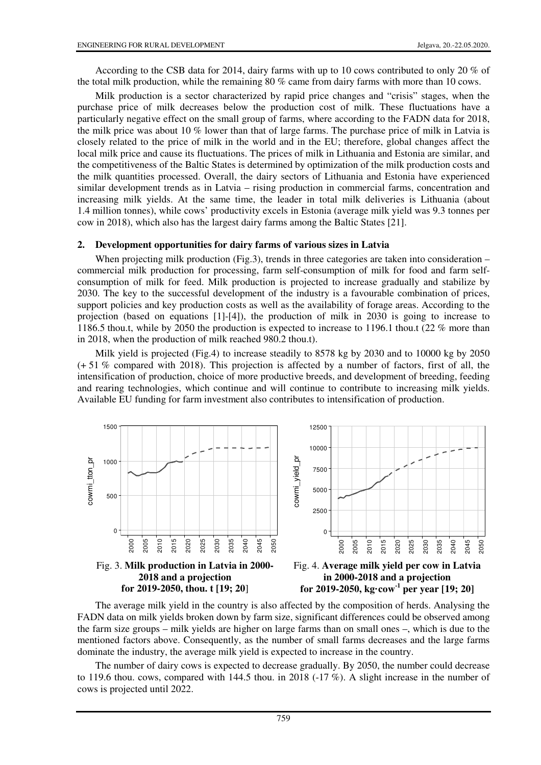According to the CSB data for 2014, dairy farms with up to 10 cows contributed to only 20 % of the total milk production, while the remaining 80 % came from dairy farms with more than 10 cows.

Milk production is a sector characterized by rapid price changes and "crisis" stages, when the purchase price of milk decreases below the production cost of milk. These fluctuations have a particularly negative effect on the small group of farms, where according to the FADN data for 2018, the milk price was about 10 % lower than that of large farms. The purchase price of milk in Latvia is closely related to the price of milk in the world and in the EU; therefore, global changes affect the local milk price and cause its fluctuations. The prices of milk in Lithuania and Estonia are similar, and the competitiveness of the Baltic States is determined by optimization of the milk production costs and the milk quantities processed. Overall, the dairy sectors of Lithuania and Estonia have experienced similar development trends as in Latvia – rising production in commercial farms, concentration and increasing milk yields. At the same time, the leader in total milk deliveries is Lithuania (about 1.4 million tonnes), while cows' productivity excels in Estonia (average milk yield was 9.3 tonnes per cow in 2018), which also has the largest dairy farms among the Baltic States [21].

#### **2. Development opportunities for dairy farms of various sizes in Latvia**

When projecting milk production (Fig.3), trends in three categories are taken into consideration – commercial milk production for processing, farm self-consumption of milk for food and farm selfconsumption of milk for feed. Milk production is projected to increase gradually and stabilize by 2030. The key to the successful development of the industry is a favourable combination of prices, support policies and key production costs as well as the availability of forage areas. According to the projection (based on equations [1]-[4]), the production of milk in 2030 is going to increase to 1186.5 thou.t, while by 2050 the production is expected to increase to 1196.1 thou.t (22 % more than in 2018, when the production of milk reached 980.2 thou.t).

Milk yield is projected (Fig.4) to increase steadily to 8578 kg by 2030 and to 10000 kg by 2050 (+ 51 % compared with 2018). This projection is affected by a number of factors, first of all, the intensification of production, choice of more productive breeds, and development of breeding, feeding and rearing technologies, which continue and will continue to contribute to increasing milk yields. Available EU funding for farm investment also contributes to intensification of production.



**2018 and a projection for 2019-2050, thou. t [19; 20**]

**in 2000-2018 and a projection for 2019-2050, kg·cow-1 per year [19; 20]**

The average milk yield in the country is also affected by the composition of herds. Analysing the FADN data on milk yields broken down by farm size, significant differences could be observed among the farm size groups – milk yields are higher on large farms than on small ones –, which is due to the mentioned factors above. Consequently, as the number of small farms decreases and the large farms dominate the industry, the average milk yield is expected to increase in the country.

The number of dairy cows is expected to decrease gradually. By 2050, the number could decrease to 119.6 thou. cows, compared with 144.5 thou. in 2018  $(-17\%)$ . A slight increase in the number of cows is projected until 2022.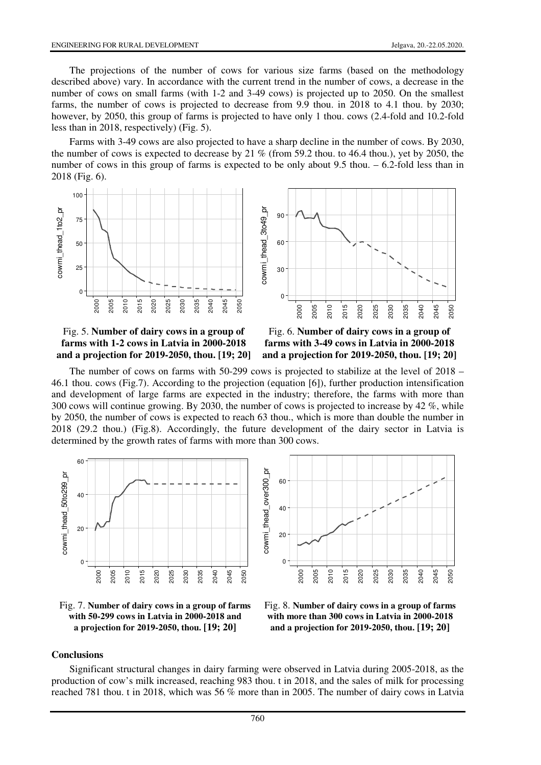The projections of the number of cows for various size farms (based on the methodology described above) vary. In accordance with the current trend in the number of cows, a decrease in the number of cows on small farms (with 1-2 and 3-49 cows) is projected up to 2050. On the smallest farms, the number of cows is projected to decrease from 9.9 thou. in 2018 to 4.1 thou. by 2030; however, by 2050, this group of farms is projected to have only 1 thou. cows (2.4-fold and 10.2-fold less than in 2018, respectively) (Fig. 5).

Farms with 3-49 cows are also projected to have a sharp decline in the number of cows. By 2030, the number of cows is expected to decrease by 21 % (from 59.2 thou. to 46.4 thou.), yet by 2050, the number of cows in this group of farms is expected to be only about 9.5 thou. – 6.2-fold less than in 2018 (Fig. 6).



### Fig. 5. **Number of dairy cows in a group of farms with 1-2 cows in Latvia in 2000-2018 and a projection for 2019-2050, thou. [19; 20]**



The number of cows on farms with 50-299 cows is projected to stabilize at the level of 2018 – 46.1 thou. cows (Fig.7). According to the projection (equation [6]), further production intensification and development of large farms are expected in the industry; therefore, the farms with more than 300 cows will continue growing. By 2030, the number of cows is projected to increase by 42 %, while by 2050, the number of cows is expected to reach 63 thou., which is more than double the number in 2018 (29.2 thou.) (Fig.8). Accordingly, the future development of the dairy sector in Latvia is determined by the growth rates of farms with more than 300 cows.



Fig. 7. **Number of dairy cows in a group of farms with 50-299 cows in Latvia in 2000-2018 and a projection for 2019-2050, thou. [19; 20]**



Fig. 8. **Number of dairy cows in a group of farms with more than 300 cows in Latvia in 2000-2018 and a projection for 2019-2050, thou. [19; 20]**

#### **Conclusions**

Significant structural changes in dairy farming were observed in Latvia during 2005-2018, as the production of cow's milk increased, reaching 983 thou. t in 2018, and the sales of milk for processing reached 781 thou. t in 2018, which was 56 % more than in 2005. The number of dairy cows in Latvia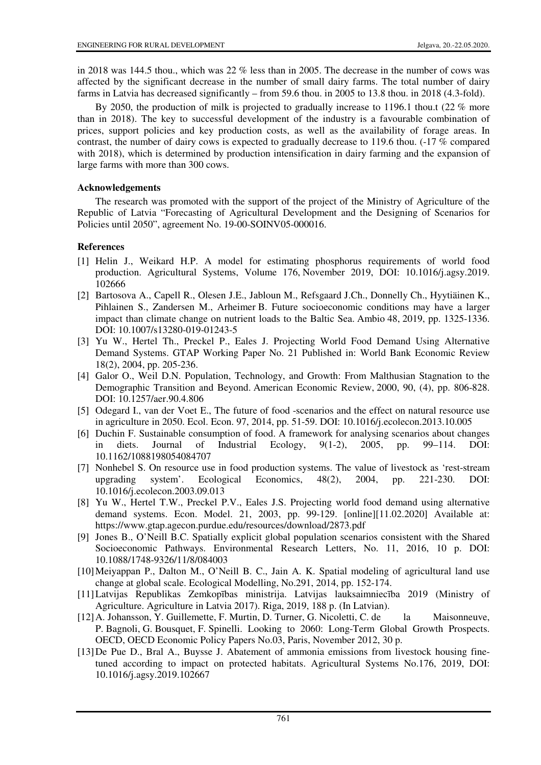in 2018 was 144.5 thou., which was 22 % less than in 2005. The decrease in the number of cows was affected by the significant decrease in the number of small dairy farms. The total number of dairy farms in Latvia has decreased significantly – from 59.6 thou. in 2005 to 13.8 thou. in 2018 (4.3-fold).

By 2050, the production of milk is projected to gradually increase to 1196.1 thou.t (22 % more than in 2018). The key to successful development of the industry is a favourable combination of prices, support policies and key production costs, as well as the availability of forage areas. In contrast, the number of dairy cows is expected to gradually decrease to 119.6 thou. (-17 % compared with 2018), which is determined by production intensification in dairy farming and the expansion of large farms with more than 300 cows.

## **Acknowledgements**

The research was promoted with the support of the project of the Ministry of Agriculture of the Republic of Latvia "Forecasting of Agricultural Development and the Designing of Scenarios for Policies until 2050", agreement No. 19-00-SOINV05-000016.

# **References**

- [1] Helin J., Weikard H.P. A model for estimating phosphorus requirements of world food production. Agricultural Systems, Volume 176, November 2019, DOI: 10.1016/j.agsy.2019. 102666
- [2] Bartosova A., Capell R., Olesen J.E., Jabloun M., Refsgaard J.Ch., Donnelly Ch., Hyytiäinen K., Pihlainen S., Zandersen M., Arheimer B. Future socioeconomic conditions may have a larger impact than climate change on nutrient loads to the Baltic Sea. Ambio 48, 2019, pp. 1325-1336. DOI: 10.1007/s13280-019-01243-5
- [3] Yu W., Hertel Th., Preckel P., Eales J. Projecting World Food Demand Using Alternative Demand Systems. GTAP Working Paper No. 21 Published in: World Bank Economic Review 18(2), 2004, pp. 205-236.
- [4] Galor O., Weil D.N. Population, Technology, and Growth: From Malthusian Stagnation to the Demographic Transition and Beyond. American Economic Review, 2000, 90, (4), pp. 806-828. DOI: 10.1257/aer.90.4.806
- [5] Odegard I., van der Voet E., The future of food -scenarios and the effect on natural resource use in agriculture in 2050. Ecol. Econ. 97, 2014, pp. 51-59. DOI: 10.1016/j.ecolecon.2013.10.005
- [6] Duchin F. Sustainable consumption of food. A framework for analysing scenarios about changes in diets. Journal of Industrial Ecology, 9(1-2), 2005, pp. 99–114. DOI: 10.1162/1088198054084707
- [7] Nonhebel S. On resource use in food production systems. The value of livestock as 'rest-stream upgrading system'. Ecological Economics, 48(2), 2004, pp. 221-230. DOI: 10.1016/j.ecolecon.2003.09.013
- [8] Yu W., Hertel T.W., Preckel P.V., Eales J.S. Projecting world food demand using alternative demand systems. Econ. Model. 21, 2003, pp. 99-129. [online][11.02.2020] Available at: https://www.gtap.agecon.purdue.edu/resources/download/2873.pdf
- [9] Jones B., O'Neill B.C. Spatially explicit global population scenarios consistent with the Shared Socioeconomic Pathways. Environmental Research Letters, No. 11, 2016, 10 p. DOI: 10.1088/1748-9326/11/8/084003
- [10] Meiyappan P., Dalton M., O'Neill B. C., Jain A. K. Spatial modeling of agricultural land use change at global scale. Ecological Modelling, No.291, 2014, pp. 152-174.
- [11] Latvijas Republikas Zemkopības ministrija. Latvijas lauksaimniecība 2019 (Ministry of Agriculture. Agriculture in Latvia 2017). Riga, 2019, 188 p. (In Latvian).
- [12] A. Johansson, Y. Guillemette, F. Murtin, D. Turner, G. Nicoletti, C. de la Maisonneuve, P. Bagnoli, G. Bousquet, F. Spinelli. Looking to 2060: Long-Term Global Growth Prospects. OECD, OECD Economic Policy Papers No.03, Paris, November 2012, 30 p.
- [13] De Pue D., Bral A., Buysse J. Abatement of ammonia emissions from livestock housing finetuned according to impact on protected habitats. Agricultural Systems No.176, 2019, DOI: 10.1016/j.agsy.2019.102667